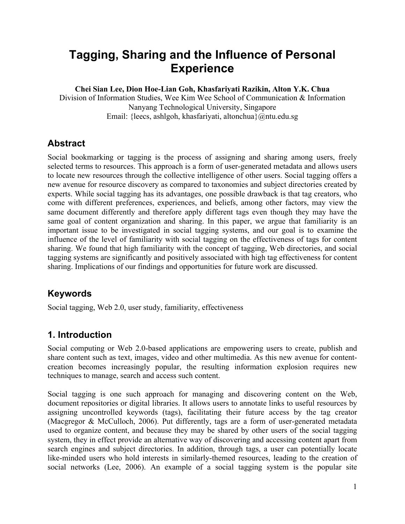# **Tagging, Sharing and the Influence of Personal Experience**

**Chei Sian Lee, Dion Hoe-Lian Goh, Khasfariyati Razikin, Alton Y.K. Chua**

Division of Information Studies, Wee Kim Wee School of Communication & Information Nanyang Technological University, Singapore Email: {leecs, ashlgoh, khasfariyati, altonchua}@ntu.edu.sg

### **Abstract**

Social bookmarking or tagging is the process of assigning and sharing among users, freely selected terms to resources. This approach is a form of user-generated metadata and allows users to locate new resources through the collective intelligence of other users. Social tagging offers a new avenue for resource discovery as compared to taxonomies and subject directories created by experts. While social tagging has its advantages, one possible drawback is that tag creators, who come with different preferences, experiences, and beliefs, among other factors, may view the same document differently and therefore apply different tags even though they may have the same goal of content organization and sharing. In this paper, we argue that familiarity is an important issue to be investigated in social tagging systems, and our goal is to examine the influence of the level of familiarity with social tagging on the effectiveness of tags for content sharing. We found that high familiarity with the concept of tagging, Web directories, and social tagging systems are significantly and positively associated with high tag effectiveness for content sharing. Implications of our findings and opportunities for future work are discussed.

## **Keywords**

Social tagging, Web 2.0, user study, familiarity, effectiveness

### **1. Introduction**

Social computing or Web 2.0-based applications are empowering users to create, publish and share content such as text, images, video and other multimedia. As this new avenue for contentcreation becomes increasingly popular, the resulting information explosion requires new techniques to manage, search and access such content.

Social tagging is one such approach for managing and discovering content on the Web, document repositories or digital libraries. It allows users to annotate links to useful resources by assigning uncontrolled keywords (tags), facilitating their future access by the tag creator (Macgregor & McCulloch, 2006). Put differently, tags are a form of user-generated metadata used to organize content, and because they may be shared by other users of the social tagging system, they in effect provide an alternative way of discovering and accessing content apart from search engines and subject directories. In addition, through tags, a user can potentially locate like-minded users who hold interests in similarly-themed resources, leading to the creation of social networks (Lee, 2006). An example of a social tagging system is the popular site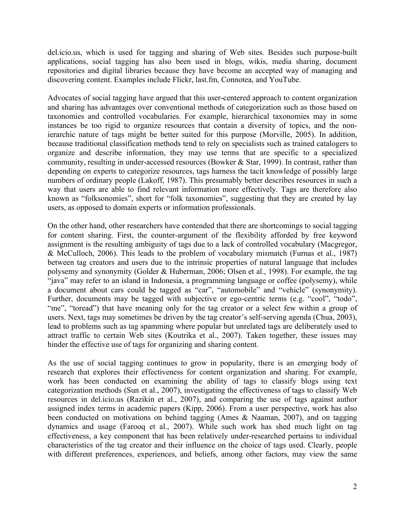del.icio.us, which is used for tagging and sharing of Web sites. Besides such purpose-built applications, social tagging has also been used in blogs, wikis, media sharing, document repositories and digital libraries because they have become an accepted way of managing and discovering content. Examples include Flickr, last.fm, Connotea, and YouTube.

Advocates of social tagging have argued that this user-centered approach to content organization and sharing has advantages over conventional methods of categorization such as those based on taxonomies and controlled vocabularies. For example, hierarchical taxonomies may in some instances be too rigid to organize resources that contain a diversity of topics, and the nonierarchic nature of tags might be better suited for this purpose (Morville, 2005). In addition, because traditional classification methods tend to rely on specialists such as trained catalogers to organize and describe information, they may use terms that are specific to a specialized community, resulting in under-accessed resources (Bowker  $&$  Star, 1999). In contrast, rather than depending on experts to categorize resources, tags harness the tacit knowledge of possibly large numbers of ordinary people (Lakoff, 1987). This presumably better describes resources in such a way that users are able to find relevant information more effectively. Tags are therefore also known as "folksonomies", short for "folk taxonomies", suggesting that they are created by lay users, as opposed to domain experts or information professionals.

On the other hand, other researchers have contended that there are shortcomings to social tagging for content sharing. First, the counter-argument of the flexibility afforded by free keyword assignment is the resulting ambiguity of tags due to a lack of controlled vocabulary (Macgregor, & McCulloch, 2006). This leads to the problem of vocabulary mismatch (Furnas et al., 1987) between tag creators and users due to the intrinsic properties of natural language that includes polysemy and synonymity (Golder & Huberman, 2006; Olsen et al., 1998). For example, the tag "java" may refer to an island in Indonesia, a programming language or coffee (polysemy), while a document about cars could be tagged as "car", "automobile" and "vehicle" (synonymity). Further, documents may be tagged with subjective or ego-centric terms (e.g. "cool", "todo", "me", "toread") that have meaning only for the tag creator or a select few within a group of users. Next, tags may sometimes be driven by the tag creator's self-serving agenda (Chua, 2003), lead to problems such as tag spamming where popular but unrelated tags are deliberately used to attract traffic to certain Web sites (Koutrika et al., 2007). Taken together, these issues may hinder the effective use of tags for organizing and sharing content.

As the use of social tagging continues to grow in popularity, there is an emerging body of research that explores their effectiveness for content organization and sharing. For example, work has been conducted on examining the ability of tags to classify blogs using text categorization methods (Sun et al., 2007), investigating the effectiveness of tags to classify Web resources in del.icio.us (Razikin et al., 2007), and comparing the use of tags against author assigned index terms in academic papers (Kipp, 2006). From a user perspective, work has also been conducted on motivations on behind tagging (Ames & Naaman, 2007), and on tagging dynamics and usage (Farooq et al., 2007). While such work has shed much light on tag effectiveness, a key component that has been relatively under-researched pertains to individual characteristics of the tag creator and their influence on the choice of tags used. Clearly, people with different preferences, experiences, and beliefs, among other factors, may view the same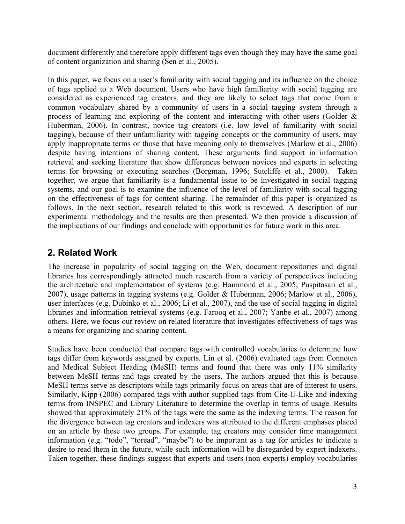document differently and therefore apply different tags even though they may have the same goal of content organization and sharing (Sen et al., 2005).

In this paper, we focus on a user's familiarity with social tagging and its influence on the choice of tags applied to a Web document. Users who have high familiarity with social tagging are considered as experienced tag creators, and they are likely to select tags that come from a common vocabulary shared by a community of users in a social tagging system through a process of learning and exploring of the content and interacting with other users (Golder & Huberman, 2006). In contrast, novice tag creators (i.e. low level of familiarity with social tagging), because of their unfamiliarity with tagging concepts or the community of users, may apply inappropriate terms or those that have meaning only to themselves (Marlow et al., 2006) despite having intentions of sharing content. These arguments find support in information retrieval and seeking literature that show differences between novices and experts in selecting terms for browsing or executing searches (Borgman, 1996; Sutcliffe et al., 2000). Taken together, we argue that familiarity is a fundamental issue to be investigated in social tagging systems, and our goal is to examine the influence of the level of familiarity with social tagging on the effectiveness of tags for content sharing. The remainder of this paper is organized as follows. In the next section, research related to this work is reviewed. A description of our experimental methodology and the results are then presented. We then provide a discussion of the implications of our findings and conclude with opportunities for future work in this area.

### **2. Related Work**

The increase in popularity of social tagging on the Web, document repositories and digital libraries has correspondingly attracted much research from a variety of perspectives including the architecture and implementation of systems (e.g. Hammond et al., 2005; Puspitasari et al., 2007), usage patterns in tagging systems (e.g. Golder & Huberman, 2006; Marlow et al., 2006), user interfaces (e.g. Dubinko et al., 2006; Li et al., 2007), and the use of social tagging in digital libraries and information retrieval systems (e.g. Farooq et al., 2007; Yanbe et al., 2007) among others. Here, we focus our review on related literature that investigates effectiveness of tags was a means for organizing and sharing content.

Studies have been conducted that compare tags with controlled vocabularies to determine how tags differ from keywords assigned by experts. Lin et al. (2006) evaluated tags from Connotea and Medical Subject Heading (MeSH) terms and found that there was only 11% similarity between MeSH terms and tags created by the users. The authors argued that this is because MeSH terms serve as descriptors while tags primarily focus on areas that are of interest to users. Similarly, Kipp (2006) compared tags with author supplied tags from Cite-U-Like and indexing terms from INSPEC and Library Literature to determine the overlap in terms of usage. Results showed that approximately 21% of the tags were the same as the indexing terms. The reason for the divergence between tag creators and indexers was attributed to the different emphases placed on an article by these two groups. For example, tag creators may consider time management information (e.g. "todo", "toread", "maybe") to be important as a tag for articles to indicate a desire to read them in the future, while such information will be disregarded by expert indexers. Taken together, these findings suggest that experts and users (non-experts) employ vocabularies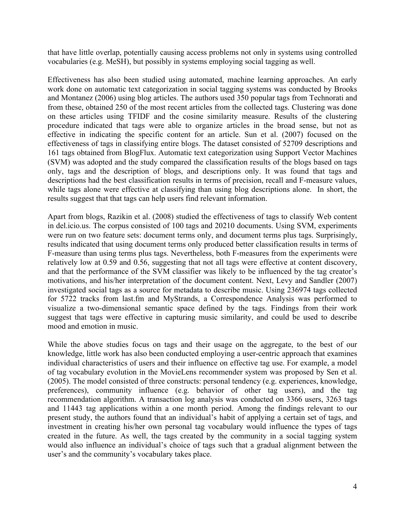that have little overlap, potentially causing access problems not only in systems using controlled vocabularies (e.g. MeSH), but possibly in systems employing social tagging as well.

Effectiveness has also been studied using automated, machine learning approaches. An early work done on automatic text categorization in social tagging systems was conducted by Brooks and Montanez (2006) using blog articles. The authors used 350 popular tags from Technorati and from these, obtained 250 of the most recent articles from the collected tags. Clustering was done on these articles using TFIDF and the cosine similarity measure. Results of the clustering procedure indicated that tags were able to organize articles in the broad sense, but not as effective in indicating the specific content for an article. Sun et al. (2007) focused on the effectiveness of tags in classifying entire blogs. The dataset consisted of 52709 descriptions and 161 tags obtained from BlogFlux. Automatic text categorization using Support Vector Machines (SVM) was adopted and the study compared the classification results of the blogs based on tags only, tags and the description of blogs, and descriptions only. It was found that tags and descriptions had the best classification results in terms of precision, recall and F-measure values, while tags alone were effective at classifying than using blog descriptions alone. In short, the results suggest that that tags can help users find relevant information.

Apart from blogs, Razikin et al. (2008) studied the effectiveness of tags to classify Web content in del.icio.us. The corpus consisted of 100 tags and 20210 documents. Using SVM, experiments were run on two feature sets: document terms only, and document terms plus tags. Surprisingly, results indicated that using document terms only produced better classification results in terms of F-measure than using terms plus tags. Nevertheless, both F-measures from the experiments were relatively low at 0.59 and 0.56, suggesting that not all tags were effective at content discovery, and that the performance of the SVM classifier was likely to be influenced by the tag creator's motivations, and his/her interpretation of the document content. Next, Levy and Sandler (2007) investigated social tags as a source for metadata to describe music. Using 236974 tags collected for 5722 tracks from last.fm and MyStrands, a Correspondence Analysis was performed to visualize a two-dimensional semantic space defined by the tags. Findings from their work suggest that tags were effective in capturing music similarity, and could be used to describe mood and emotion in music.

While the above studies focus on tags and their usage on the aggregate, to the best of our knowledge, little work has also been conducted employing a user-centric approach that examines individual characteristics of users and their influence on effective tag use. For example, a model of tag vocabulary evolution in the MovieLens recommender system was proposed by Sen et al. (2005). The model consisted of three constructs: personal tendency (e.g. experiences, knowledge, preferences), community influence (e.g. behavior of other tag users), and the tag recommendation algorithm. A transaction log analysis was conducted on 3366 users, 3263 tags and 11443 tag applications within a one month period. Among the findings relevant to our present study, the authors found that an individual's habit of applying a certain set of tags, and investment in creating his/her own personal tag vocabulary would influence the types of tags created in the future. As well, the tags created by the community in a social tagging system would also influence an individual's choice of tags such that a gradual alignment between the user's and the community's vocabulary takes place.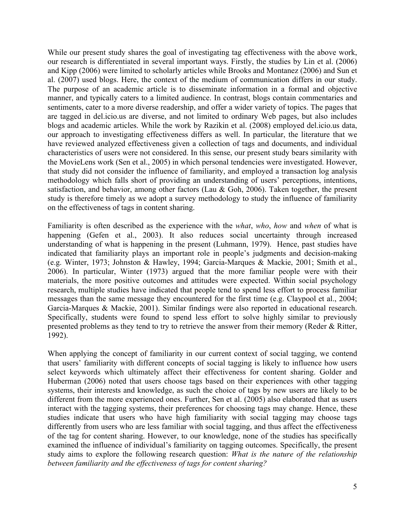While our present study shares the goal of investigating tag effectiveness with the above work, our research is differentiated in several important ways. Firstly, the studies by Lin et al. (2006) and Kipp (2006) were limited to scholarly articles while Brooks and Montanez (2006) and Sun et al. (2007) used blogs. Here, the context of the medium of communication differs in our study. The purpose of an academic article is to disseminate information in a formal and objective manner, and typically caters to a limited audience. In contrast, blogs contain commentaries and sentiments, cater to a more diverse readership, and offer a wider variety of topics. The pages that are tagged in del.icio.us are diverse, and not limited to ordinary Web pages, but also includes blogs and academic articles. While the work by Razikin et al. (2008) employed del.icio.us data, our approach to investigating effectiveness differs as well. In particular, the literature that we have reviewed analyzed effectiveness given a collection of tags and documents, and individual characteristics of users were not considered. In this sense, our present study bears similarity with the MovieLens work (Sen et al., 2005) in which personal tendencies were investigated. However, that study did not consider the influence of familiarity, and employed a transaction log analysis methodology which falls short of providing an understanding of users' perceptions, intentions, satisfaction, and behavior, among other factors (Lau & Goh, 2006). Taken together, the present study is therefore timely as we adopt a survey methodology to study the influence of familiarity on the effectiveness of tags in content sharing.

Familiarity is often described as the experience with the *what*, *who*, *how* and *when* of what is happening (Gefen et al., 2003). It also reduces social uncertainty through increased understanding of what is happening in the present (Luhmann, 1979). Hence, past studies have indicated that familiarity plays an important role in people's judgments and decision-making (e.g. Winter, 1973; Johnston & Hawley, 1994; Garcia-Marques & Mackie, 2001; Smith et al., 2006). In particular, Winter (1973) argued that the more familiar people were with their materials, the more positive outcomes and attitudes were expected. Within social psychology research, multiple studies have indicated that people tend to spend less effort to process familiar messages than the same message they encountered for the first time (e.g. Claypool et al., 2004; Garcia-Marques & Mackie, 2001). Similar findings were also reported in educational research. Specifically, students were found to spend less effort to solve highly similar to previously presented problems as they tend to try to retrieve the answer from their memory (Reder & Ritter, 1992).

When applying the concept of familiarity in our current context of social tagging, we contend that users' familiarity with different concepts of social tagging is likely to influence how users select keywords which ultimately affect their effectiveness for content sharing. Golder and Huberman (2006) noted that users choose tags based on their experiences with other tagging systems, their interests and knowledge, as such the choice of tags by new users are likely to be different from the more experienced ones. Further, Sen et al. (2005) also elaborated that as users interact with the tagging systems, their preferences for choosing tags may change. Hence, these studies indicate that users who have high familiarity with social tagging may choose tags differently from users who are less familiar with social tagging, and thus affect the effectiveness of the tag for content sharing. However, to our knowledge, none of the studies has specifically examined the influence of individual's familiarity on tagging outcomes. Specifically, the present study aims to explore the following research question: *What is the nature of the relationship between familiarity and the effectiveness of tags for content sharing?*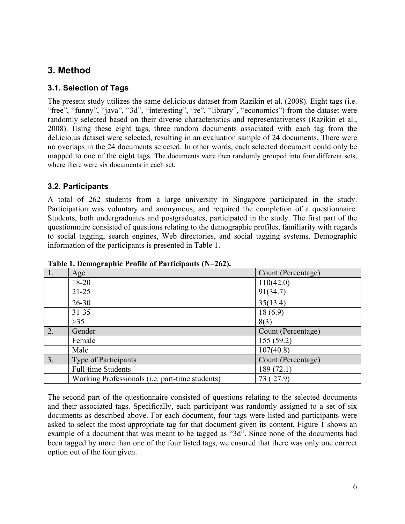### **3. Method**

#### **3.1. Selection of Tags**

The present study utilizes the same del.icio.us dataset from Razikin et al. (2008). Eight tags (i.e. "free", "funny", "java", "3d", "interesting", "re", "library", "economics") from the dataset were randomly selected based on their diverse characteristics and representativeness (Razikin et al., 2008). Using these eight tags, three random documents associated with each tag from the del.icio.us dataset were selected, resulting in an evaluation sample of 24 documents. There were no overlaps in the 24 documents selected. In other words, each selected document could only be mapped to one of the eight tags. The documents were then randomly grouped into four different sets, where there were six documents in each set.

#### **3.2. Participants**

A total of 262 students from a large university in Singapore participated in the study. Participation was voluntary and anonymous, and required the completion of a questionnaire. Students, both undergraduates and postgraduates, participated in the study. The first part of the questionnaire consisted of questions relating to the demographic profiles, familiarity with regards to social tagging, search engines, Web directories, and social tagging systems. Demographic information of the participants is presented in Table 1.

| $\setminus 1.$ | Age                                                     | Count (Percentage) |
|----------------|---------------------------------------------------------|--------------------|
|                | $18 - 20$                                               | 110(42.0)          |
|                | $21 - 25$                                               | 91(34.7)           |
|                | $26 - 30$                                               | 35(13.4)           |
|                | $31 - 35$                                               | 18(6.9)            |
|                | $>35$                                                   | 8(3)               |
| 2.             | Gender                                                  | Count (Percentage) |
|                | Female                                                  | 155(59.2)          |
|                | Male                                                    | 107(40.8)          |
| 3.             | Type of Participants                                    | Count (Percentage) |
|                | <b>Full-time Students</b>                               | 189 (72.1)         |
|                | Working Professionals ( <i>i.e.</i> part-time students) | 73 (27.9)          |

**Table 1. Demographic Profile of Participants (N=262).**

The second part of the questionnaire consisted of questions relating to the selected documents and their associated tags. Specifically, each participant was randomly assigned to a set of six documents as described above. For each document, four tags were listed and participants were asked to select the most appropriate tag for that document given its content. Figure 1 shows an example of a document that was meant to be tagged as "3d". Since none of the documents had been tagged by more than one of the four listed tags, we ensured that there was only one correct option out of the four given.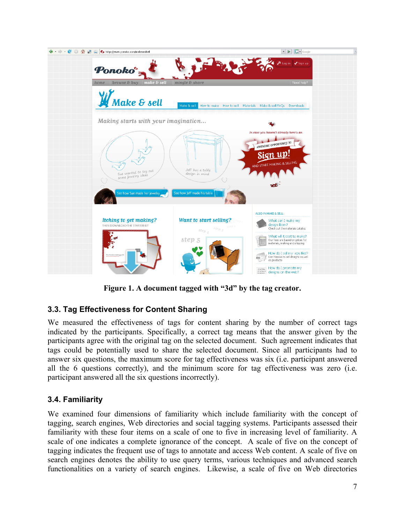

**Figure 1. A document tagged with "3d" by the tag creator.**

### **3.3. Tag Effectiveness for Content Sharing**

We measured the effectiveness of tags for content sharing by the number of correct tags indicated by the participants. Specifically, a correct tag means that the answer given by the participants agree with the original tag on the selected document. Such agreement indicates that tags could be potentially used to share the selected document. Since all participants had to answer six questions, the maximum score for tag effectiveness was six (i.e. participant answered all the 6 questions correctly), and the minimum score for tag effectiveness was zero (i.e. participant answered all the six questions incorrectly).

#### **3.4. Familiarity**

We examined four dimensions of familiarity which include familiarity with the concept of tagging, search engines, Web directories and social tagging systems. Participants assessed their familiarity with these four items on a scale of one to five in increasing level of familiarity. A scale of one indicates a complete ignorance of the concept. A scale of five on the concept of tagging indicates the frequent use of tags to annotate and access Web content. A scale of five on search engines denotes the ability to use query terms, various techniques and advanced search functionalities on a variety of search engines. Likewise, a scale of five on Web directories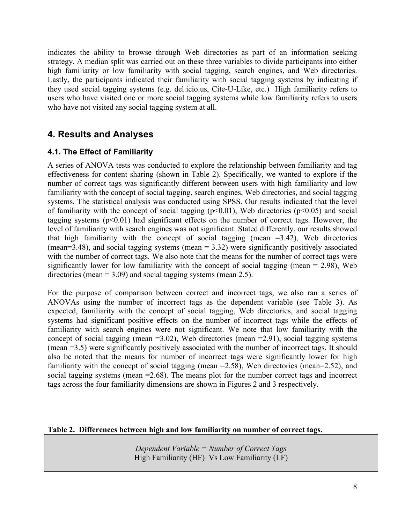indicates the ability to browse through Web directories as part of an information seeking strategy. A median split was carried out on these three variables to divide participants into either high familiarity or low familiarity with social tagging, search engines, and Web directories. Lastly, the participants indicated their familiarity with social tagging systems by indicating if they used social tagging systems (e.g. del.icio.us, Cite-U-Like, etc.) High familiarity refers to users who have visited one or more social tagging systems while low familiarity refers to users who have not visited any social tagging system at all.

## **4. Results and Analyses**

#### **4.1. The Effect of Familiarity**

A series of ANOVA tests was conducted to explore the relationship between familiarity and tag effectiveness for content sharing (shown in Table 2). Specifically, we wanted to explore if the number of correct tags was significantly different between users with high familiarity and low familiarity with the concept of social tagging, search engines, Web directories, and social tagging systems. The statistical analysis was conducted using SPSS. Our results indicated that the level of familiarity with the concept of social tagging  $(p<0.01)$ , Web directories  $(p<0.05)$  and social tagging systems  $(p<0.01)$  had significant effects on the number of correct tags. However, the level of familiarity with search engines was not significant. Stated differently, our results showed that high familiarity with the concept of social tagging (mean  $=3.42$ ), Web directories (mean=3.48), and social tagging systems (mean  $= 3.32$ ) were significantly positively associated with the number of correct tags. We also note that the means for the number of correct tags were significantly lower for low familiarity with the concept of social tagging (mean  $= 2.98$ ), Web directories (mean  $= 3.09$ ) and social tagging systems (mean 2.5).

For the purpose of comparison between correct and incorrect tags, we also ran a series of ANOVAs using the number of incorrect tags as the dependent variable (see Table 3). As expected, familiarity with the concept of social tagging, Web directories, and social tagging systems had significant positive effects on the number of incorrect tags while the effects of familiarity with search engines were not significant. We note that low familiarity with the concept of social tagging (mean  $=3.02$ ), Web directories (mean  $=2.91$ ), social tagging systems (mean =3.5) were significantly positively associated with the number of incorrect tags. It should also be noted that the means for number of incorrect tags were significantly lower for high familiarity with the concept of social tagging (mean = 2.58), Web directories (mean = 2.52), and social tagging systems (mean =2.68). The means plot for the number correct tags and incorrect tags across the four familiarity dimensions are shown in Figures 2 and 3 respectively.

#### **Table 2. Differences between high and low familiarity on number of correct tags.**

*Dependent Variable = Number of Correct Tags* High Familiarity (HF) Vs Low Familiarity (LF)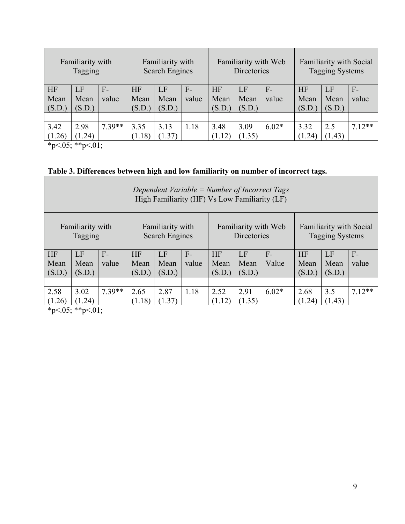| Familiarity with<br>Tagging |        | Familiarity with<br><b>Search Engines</b> |        |        | Familiarity with Web<br>Directories |        |        | Familiarity with Social<br><b>Tagging Systems</b> |           |        |         |
|-----------------------------|--------|-------------------------------------------|--------|--------|-------------------------------------|--------|--------|---------------------------------------------------|-----------|--------|---------|
| <b>HF</b>                   | LF     | $F-$                                      | HF     | LF     | $F-$                                | HF     | LF     | $F-$                                              | <b>HF</b> | LF     | $F-$    |
| Mean                        | Mean   | value                                     | Mean   | Mean   | value                               | Mean   | Mean   | value                                             | Mean      | Mean   | value   |
| (S.D.)                      | (S.D.) |                                           | (S.D.) | (S.D.) |                                     | (S.D.) | (S.D.) |                                                   | (S.D.)    | (S.D.) |         |
|                             |        |                                           |        |        |                                     |        |        |                                                   |           |        |         |
| 3.42                        | 2.98   | $7.39**$                                  | 3.35   | 3.13   | 1.18                                | 3.48   | 3.09   | $6.02*$                                           | 3.32      | 2.5    | $712**$ |
| (1.26)                      | (1.24) |                                           | (1.18) | (1.37) |                                     | (1.12) | (1.35) |                                                   | (1.24)    | (1.43) |         |

 $*p<.05; **p<.01;$ 

#### **Table 3. Differences between high and low familiarity on number of incorrect tags.**

| Dependent Variable = Number of Incorrect Tags<br>High Familiarity (HF) Vs Low Familiarity (LF) |        |                                           |           |        |                                     |        |        |                                                          |           |        |          |
|------------------------------------------------------------------------------------------------|--------|-------------------------------------------|-----------|--------|-------------------------------------|--------|--------|----------------------------------------------------------|-----------|--------|----------|
| Familiarity with<br>Tagging                                                                    |        | Familiarity with<br><b>Search Engines</b> |           |        | Familiarity with Web<br>Directories |        |        | <b>Familiarity with Social</b><br><b>Tagging Systems</b> |           |        |          |
| HF                                                                                             | LF     | $F-$                                      | <b>HF</b> | LF     | $F-$                                | HF     | LF     | $F-$                                                     | <b>HF</b> | LF     | $F-$     |
| Mean                                                                                           | Mean   | value                                     | Mean      | Mean   | value                               | Mean   | Mean   | Value                                                    | Mean      | Mean   | value    |
| (S.D.)                                                                                         | (S.D.) |                                           | (S.D.)    | (S.D.) |                                     | (S.D.) | (S.D.) |                                                          | (S.D.)    | (S.D.) |          |
|                                                                                                |        |                                           |           |        |                                     |        |        |                                                          |           |        |          |
| 2.58                                                                                           | 3.02   | $7.39**$                                  | 2.65      | 2.87   | 1.18                                | 2.52   | 2.91   | $6.02*$                                                  | 2.68      | 3.5    | $7.12**$ |
| (1.26)                                                                                         | (1.24) |                                           | (1.18)    | (1.37) |                                     | (1.12) | (1.35) |                                                          | (1.24)    | (1.43) |          |

 $*p<.05; **p<.01;$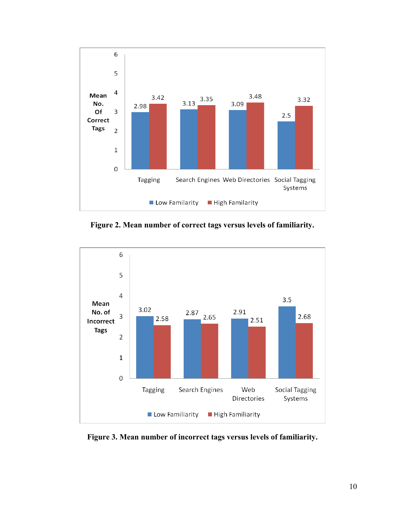

**Figure 2. Mean number of correct tags versus levels of familiarity.**



**Figure 3. Mean number of incorrect tags versus levels of familiarity.**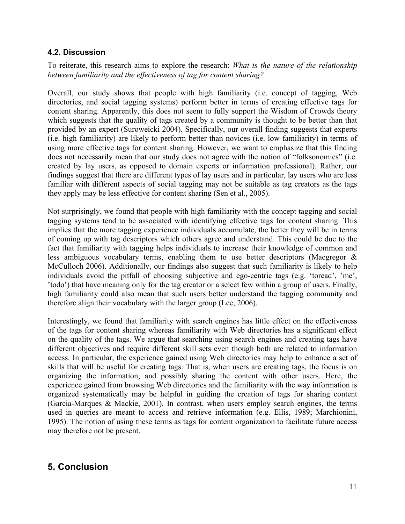#### **4.2. Discussion**

To reiterate, this research aims to explore the research: *What is the nature of the relationship between familiarity and the effectiveness of tag for content sharing?*

Overall, our study shows that people with high familiarity (i.e. concept of tagging, Web directories, and social tagging systems) perform better in terms of creating effective tags for content sharing. Apparently, this does not seem to fully support the Wisdom of Crowds theory which suggests that the quality of tags created by a community is thought to be better than that provided by an expert (Suroweicki 2004). Specifically, our overall finding suggests that experts (i.e. high familiarity) are likely to perform better than novices (i.e. low familiarity) in terms of using more effective tags for content sharing. However, we want to emphasize that this finding does not necessarily mean that our study does not agree with the notion of "folksonomies" (i.e. created by lay users, as opposed to domain experts or information professional). Rather, our findings suggest that there are different types of lay users and in particular, lay users who are less familiar with different aspects of social tagging may not be suitable as tag creators as the tags they apply may be less effective for content sharing (Sen et al., 2005).

Not surprisingly, we found that people with high familiarity with the concept tagging and social tagging systems tend to be associated with identifying effective tags for content sharing. This implies that the more tagging experience individuals accumulate, the better they will be in terms of coming up with tag descriptors which others agree and understand. This could be due to the fact that familiarity with tagging helps individuals to increase their knowledge of common and less ambiguous vocabulary terms, enabling them to use better descriptors (Macgregor & McCulloch 2006). Additionally, our findings also suggest that such familiarity is likely to help individuals avoid the pitfall of choosing subjective and ego-centric tags (e.g. 'toread', 'me', 'todo') that have meaning only for the tag creator or a select few within a group of users. Finally, high familiarity could also mean that such users better understand the tagging community and therefore align their vocabulary with the larger group (Lee, 2006).

Interestingly, we found that familiarity with search engines has little effect on the effectiveness of the tags for content sharing whereas familiarity with Web directories has a significant effect on the quality of the tags. We argue that searching using search engines and creating tags have different objectives and require different skill sets even though both are related to information access. In particular, the experience gained using Web directories may help to enhance a set of skills that will be useful for creating tags. That is, when users are creating tags, the focus is on organizing the information, and possibly sharing the content with other users. Here, the experience gained from browsing Web directories and the familiarity with the way information is organized systematically may be helpful in guiding the creation of tags for sharing content (Garcia-Marques & Mackie, 2001). In contrast, when users employ search engines, the terms used in queries are meant to access and retrieve information (e.g. Ellis, 1989; Marchionini, 1995). The notion of using these terms as tags for content organization to facilitate future access may therefore not be present.

### **5. Conclusion**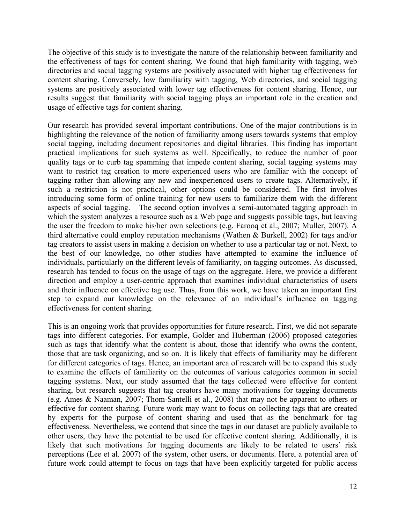The objective of this study is to investigate the nature of the relationship between familiarity and the effectiveness of tags for content sharing. We found that high familiarity with tagging, web directories and social tagging systems are positively associated with higher tag effectiveness for content sharing. Conversely, low familiarity with tagging, Web directories, and social tagging systems are positively associated with lower tag effectiveness for content sharing. Hence, our results suggest that familiarity with social tagging plays an important role in the creation and usage of effective tags for content sharing.

Our research has provided several important contributions. One of the major contributions is in highlighting the relevance of the notion of familiarity among users towards systems that employ social tagging, including document repositories and digital libraries. This finding has important practical implications for such systems as well. Specifically, to reduce the number of poor quality tags or to curb tag spamming that impede content sharing, social tagging systems may want to restrict tag creation to more experienced users who are familiar with the concept of tagging rather than allowing any new and inexperienced users to create tags. Alternatively, if such a restriction is not practical, other options could be considered. The first involves introducing some form of online training for new users to familiarize them with the different aspects of social tagging. The second option involves a semi-automated tagging approach in which the system analyzes a resource such as a Web page and suggests possible tags, but leaving the user the freedom to make his/her own selections (e.g. Farooq et al., 2007; Muller, 2007). A third alternative could employ reputation mechanisms (Wathen & Burkell, 2002) for tags and/or tag creators to assist users in making a decision on whether to use a particular tag or not. Next, to the best of our knowledge, no other studies have attempted to examine the influence of individuals, particularly on the different levels of familiarity, on tagging outcomes. As discussed, research has tended to focus on the usage of tags on the aggregate. Here, we provide a different direction and employ a user-centric approach that examines individual characteristics of users and their influence on effective tag use. Thus, from this work, we have taken an important first step to expand our knowledge on the relevance of an individual's influence on tagging effectiveness for content sharing.

This is an ongoing work that provides opportunities for future research. First, we did not separate tags into different categories. For example, Golder and Huberman (2006) proposed categories such as tags that identify what the content is about, those that identify who owns the content, those that are task organizing, and so on. It is likely that effects of familiarity may be different for different categories of tags. Hence, an important area of research will be to expand this study to examine the effects of familiarity on the outcomes of various categories common in social tagging systems. Next, our study assumed that the tags collected were effective for content sharing, but research suggests that tag creators have many motivations for tagging documents (e.g. Ames & Naaman, 2007; Thom-Santelli et al., 2008) that may not be apparent to others or effective for content sharing. Future work may want to focus on collecting tags that are created by experts for the purpose of content sharing and used that as the benchmark for tag effectiveness. Nevertheless, we contend that since the tags in our dataset are publicly available to other users, they have the potential to be used for effective content sharing. Additionally, it is likely that such motivations for tagging documents are likely to be related to users' risk perceptions (Lee et al. 2007) of the system, other users, or documents. Here, a potential area of future work could attempt to focus on tags that have been explicitly targeted for public access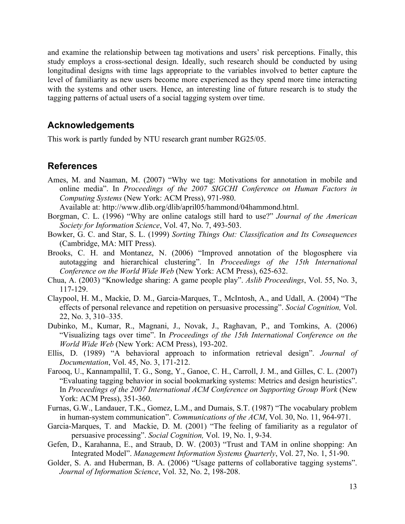and examine the relationship between tag motivations and users' risk perceptions. Finally, this study employs a cross-sectional design. Ideally, such research should be conducted by using longitudinal designs with time lags appropriate to the variables involved to better capture the level of familiarity as new users become more experienced as they spend more time interacting with the systems and other users. Hence, an interesting line of future research is to study the tagging patterns of actual users of a social tagging system over time.

#### **Acknowledgements**

This work is partly funded by NTU research grant number RG25/05.

#### **References**

Ames, M. and Naaman, M. (2007) "Why we tag: Motivations for annotation in mobile and online media". In *Proceedings of the 2007 SIGCHI Conference on Human Factors in Computing Systems* (New York: ACM Press), 971-980.

Available at: http://www.dlib.org/dlib/april05/hammond/04hammond.html.

- Borgman, C. L. (1996) "Why are online catalogs still hard to use?" *Journal of the American Society for Information Science*, Vol. 47, No. 7, 493-503.
- Bowker, G. C. and Star, S. L. (1999) *Sorting Things Out: Classification and Its Consequences* (Cambridge, MA: MIT Press).
- Brooks, C. H. and Montanez, N. (2006) "Improved annotation of the blogosphere via autotagging and hierarchical clustering". In *Proceedings of the 15th International Conference on the World Wide Web* (New York: ACM Press), 625-632.
- Chua, A. (2003) "Knowledge sharing: A game people play". *Aslib Proceedings*, Vol. 55, No. 3, 117-129.
- Claypool, H. M., Mackie, D. M., Garcia-Marques, T., McIntosh, A., and Udall, A. (2004) "The effects of personal relevance and repetition on persuasive processing". *Social Cognition,* Vol. 22, No. 3, 310–335.
- Dubinko, M., Kumar, R., Magnani, J., Novak, J., Raghavan, P., and Tomkins, A. (2006) "Visualizing tags over time". In *Proceedings of the 15th International Conference on the World Wide Web* (New York: ACM Press), 193-202.
- Ellis, D. (1989) "A behavioral approach to information retrieval design". *Journal of Documentation*, Vol. 45, No. 3, 171-212.
- Farooq, U., Kannampallil, T. G., Song, Y., Ganoe, C. H., Carroll, J. M., and Gilles, C. L. (2007) "Evaluating tagging behavior in social bookmarking systems: Metrics and design heuristics". In *Proceedings of the 2007 International ACM Conference on Supporting Group Work* (New York: ACM Press), 351-360.
- Furnas, G.W., Landauer, T.K., Gomez, L.M., and Dumais, S.T. (1987) "The vocabulary problem in human-system communication". *Communications of the ACM*, Vol. 30, No. 11, 964-971.
- Garcia-Marques, T. and Mackie, D. M. (2001) "The feeling of familiarity as a regulator of persuasive processing". *Social Cognition,* Vol. 19, No. 1, 9-34.
- Gefen, D., Karahanna, E., and Straub, D. W. (2003) "Trust and TAM in online shopping: An Integrated Model". *Management Information Systems Quarterly*, Vol. 27, No. 1, 51-90.
- Golder, S. A. and Huberman, B. A. (2006) "Usage patterns of collaborative tagging systems". *Journal of Information Science*, Vol. 32, No. 2, 198-208.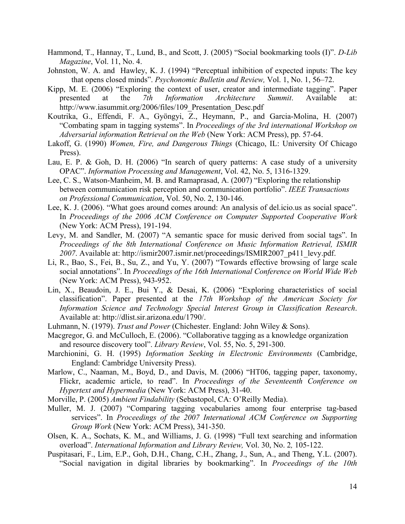- Hammond, T., Hannay, T., Lund, B., and Scott, J. (2005) "Social bookmarking tools (I)". *D-Lib Magazine*, Vol. 11, No. 4.
- Johnston, W. A. and Hawley, K. J. (1994) "Perceptual inhibition of expected inputs: The key that opens closed minds". *Psychonomic Bulletin and Review,* Vol. 1, No. 1, 56–72.
- Kipp, M. E. (2006) "Exploring the context of user, creator and intermediate tagging". Paper presented at the *7th Information Architecture Summit*. Available at: http://www.iasummit.org/2006/files/109 Presentation Desc.pdf
- Koutrika, G., Effendi, F. A., Gyöngyi, Z., Heymann, P., and Garcia-Molina, H. (2007) "Combating spam in tagging systems". In *Proceedings of the 3rd international Workshop on Adversarial information Retrieval on the Web* (New York: ACM Press), pp. 57-64.
- Lakoff, G. (1990) *Women, Fire, and Dangerous Things* (Chicago, IL: University Of Chicago Press).
- Lau, E. P. & Goh, D. H. (2006) "In search of query patterns: A case study of a university OPAC". *Information Processing and Management*, Vol. 42, No. 5, 1316-1329.
- Lee, C. S., Watson-Manheim, M. B. and Ramaprasad, A. (2007) "Exploring the relationship between communication risk perception and communication portfolio". *IEEE Transactions on Professional Communication*, Vol. 50, No. 2, 130-146.
- Lee, K. J. (2006). "What goes around comes around: An analysis of del.icio.us as social space". In *Proceedings of the 2006 ACM Conference on Computer Supported Cooperative Work* (New York: ACM Press), 191-194.
- Levy, M. and Sandler, M. (2007) "A semantic space for music derived from social tags". In *Proceedings of the 8th International Conference on Music Information Retrieval, ISMIR 2007*. Available at: http://ismir2007.ismir.net/proceedings/ISMIR2007\_p411\_levy.pdf.
- Li, R., Bao, S., Fei, B., Su, Z., and Yu, Y. (2007) "Towards effective browsing of large scale social annotations". In *Proceedings of the 16th International Conference on World Wide Web*  (New York: ACM Press), 943-952.
- Lin, X., Beaudoin, J. E., Bui Y., & Desai, K. (2006) "Exploring characteristics of social classification". Paper presented at the *17th Workshop of the American Society for Information Science and Technology Special Interest Group in Classification Research*. Available at: http://dlist.sir.arizona.edu/1790/.
- Luhmann, N. (1979). *Trust and Power* (Chichester. England: John Wiley & Sons).
- Macgregor, G. and McCulloch, E. (2006). "Collaborative tagging as a knowledge organization and resource discovery tool". *Library Review*, Vol. 55, No. 5, 291-300.
- Marchionini, G. H. (1995) *Information Seeking in Electronic Environments* (Cambridge, England: Cambridge University Press).
- Marlow, C., Naaman, M., Boyd, D., and Davis, M. (2006) "HT06, tagging paper, taxonomy, Flickr, academic article, to read". In *Proceedings of the Seventeenth Conference on Hypertext and Hypermedia* (New York: ACM Press), 31-40.
- Morville, P. (2005) *Ambient Findability* (Sebastopol, CA: O'Reilly Media).
- Muller, M. J. (2007) "Comparing tagging vocabularies among four enterprise tag-based services". In *Proceedings of the 2007 International ACM Conference on Supporting Group Work* (New York: ACM Press), 341-350.
- Olsen, K. A., Sochats, K. M., and Williams, J. G. (1998) "Full text searching and information overload". *International Information and Library Review,* Vol. 30, No. 2*,* 105-122.
- Puspitasari, F., Lim, E.P., Goh, D.H., Chang, C.H., Zhang, J., Sun, A., and Theng, Y.L. (2007). "Social navigation in digital libraries by bookmarking". In *Proceedings of the 10th*